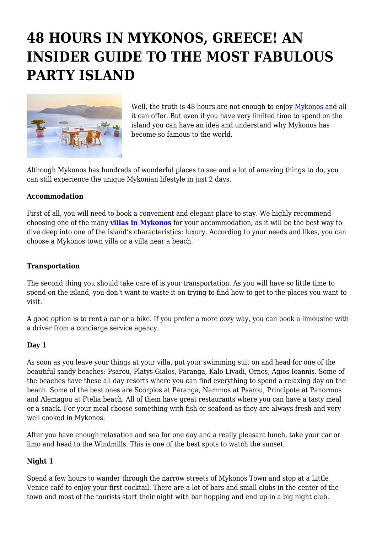# **48 HOURS IN MYKONOS, GREECE! AN INSIDER GUIDE TO THE MOST FABULOUS PARTY ISLAND**



Well, the truth is 48 hours are not enough to enjoy [Mykonos](https://en.wikipedia.org/wiki/Mykonos) and all it can offer. But even if you have very limited time to spend on the island you can have an idea and understand why Mykonos has become so famous to the world.

Although Mykonos has hundreds of wonderful places to see and a lot of amazing things to do, you can still experience the unique Mykonian lifestyle in just 2 days.

## **Accommodation**

First of all, you will need to book a convenient and elegant place to stay. We highly recommend choosing one of the many **[villas in Mykonos](http://www.mlv.villas/)** for your accommodation, as it will be the best way to dive deep into one of the island's characteristics: luxury. According to your needs and likes, you can choose a Mykonos town villa or a villa near a beach.

## **Transportation**

The second thing you should take care of is your transportation. As you will have so little time to spend on the island, you don't want to waste it on trying to find how to get to the places you want to visit.

A good option is to rent a car or a bike. If you prefer a more cozy way, you can book a limousine with a driver from a concierge service agency.

#### **Day 1**

As soon as you leave your things at your villa, put your swimming suit on and head for one of the beautiful sandy beaches: Psarou, Platys Gialos, Paranga, Kalo Livadi, Ornos, Agios Ioannis. Some of the beaches have these all day resorts where you can find everything to spend a relaxing day on the beach. Some of the best ones are Scorpios at Paranga, Nammos at Psarou, Principote at Panormos and Alemagou at Ftelia beach. All of them have great restaurants where you can have a tasty meal or a snack. For your meal choose something with fish or seafood as they are always fresh and very well cooked in Mykonos.

After you have enough relaxation and sea for one day and a really pleasant lunch, take your car or limo and head to the Windmills. This is one of the best spots to watch the sunset.

## **Night 1**

Spend a few hours to wander through the narrow streets of Mykonos Town and stop at a Little Venice café to enjoy your first cocktail. There are a lot of bars and small clubs in the center of the town and most of the tourists start their night with bar hopping and end up in a big night club.